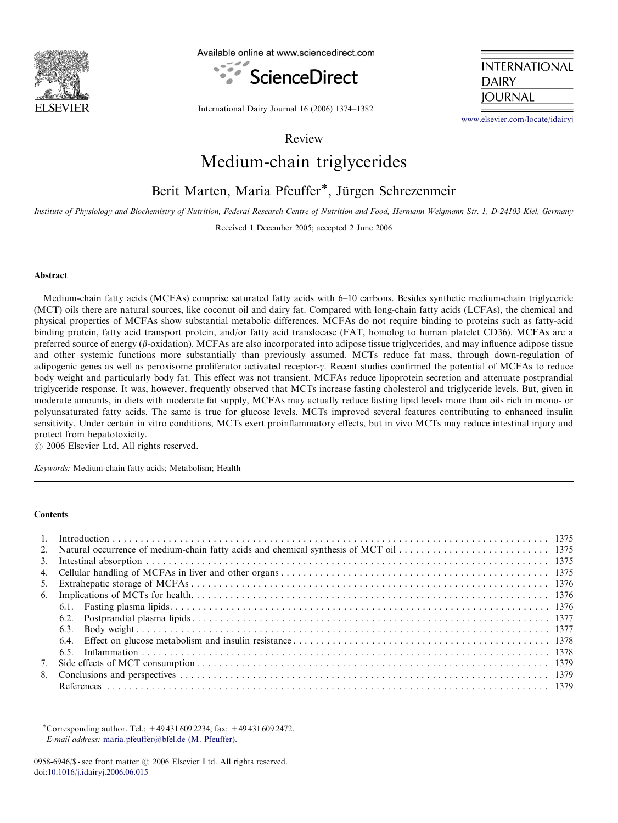

Available online at www.sciencedirect.com





International Dairy Journal 16 (2006) 1374–1382

<www.elsevier.com/locate/idairyj>

Review

# Medium-chain triglycerides

# Berit Marten, Maria Pfeuffer\*, Jürgen Schrezenmeir

Institute of Physiology and Biochemistry of Nutrition, Federal Research Centre of Nutrition and Food, Hermann Weigmann Str. 1, D-24103 Kiel, Germany

Received 1 December 2005; accepted 2 June 2006

#### Abstract

Medium-chain fatty acids (MCFAs) comprise saturated fatty acids with 6–10 carbons. Besides synthetic medium-chain triglyceride (MCT) oils there are natural sources, like coconut oil and dairy fat. Compared with long-chain fatty acids (LCFAs), the chemical and physical properties of MCFAs show substantial metabolic differences. MCFAs do not require binding to proteins such as fatty-acid binding protein, fatty acid transport protein, and/or fatty acid translocase (FAT, homolog to human platelet CD36). MCFAs are a preferred source of energy ( $\beta$ -oxidation). MCFAs are also incorporated into adipose tissue triglycerides, and may influence adipose tissue and other systemic functions more substantially than previously assumed. MCTs reduce fat mass, through down-regulation of adipogenic genes as well as peroxisome proliferator activated receptor- $\gamma$ . Recent studies confirmed the potential of MCFAs to reduce body weight and particularly body fat. This effect was not transient. MCFAs reduce lipoprotein secretion and attenuate postprandial triglyceride response. It was, however, frequently observed that MCTs increase fasting cholesterol and triglyceride levels. But, given in moderate amounts, in diets with moderate fat supply, MCFAs may actually reduce fasting lipid levels more than oils rich in mono- or polyunsaturated fatty acids. The same is true for glucose levels. MCTs improved several features contributing to enhanced insulin sensitivity. Under certain in vitro conditions, MCTs exert proinflammatory effects, but in vivo MCTs may reduce intestinal injury and protect from hepatotoxicity.

 $\odot$  2006 Elsevier Ltd. All rights reserved.

Keywords: Medium-chain fatty acids; Metabolism; Health

#### **Contents**

| 7. |  |
|----|--|
| 8. |  |
|    |  |

\*Corresponding author. Tel.:  $+494316092234$ ; fax:  $+494316092472$ . E-mail address: [maria.pfeuffer@bfel.de \(M. Pfeuffer\).](mailto:maria.pfeuffer@bfel.de)

<sup>0958-6946/\$ -</sup> see front matter  $\odot$  2006 Elsevier Ltd. All rights reserved. doi:[10.1016/j.idairyj.2006.06.015](dx.doi.org/10.1016/j.idairyj.2006.06.015)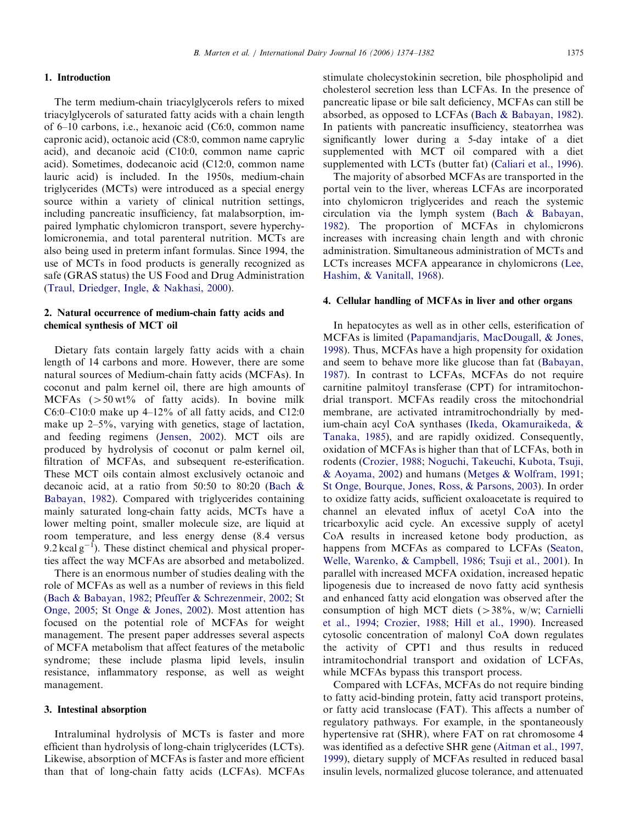#### 1. Introduction

The term medium-chain triacylglycerols refers to mixed triacylglycerols of saturated fatty acids with a chain length of 6–10 carbons, i.e., hexanoic acid (C6:0, common name capronic acid), octanoic acid (C8:0, common name caprylic acid), and decanoic acid (C10:0, common name capric acid). Sometimes, dodecanoic acid (C12:0, common name lauric acid) is included. In the 1950s, medium-chain triglycerides (MCTs) were introduced as a special energy source within a variety of clinical nutrition settings, including pancreatic insufficiency, fat malabsorption, impaired lymphatic chylomicron transport, severe hyperchylomicronemia, and total parenteral nutrition. MCTs are also being used in preterm infant formulas. Since 1994, the use of MCTs in food products is generally recognized as safe (GRAS status) the US Food and Drug Administration ([Traul, Driedger, Ingle, & Nakhasi, 2000\)](#page-7-0).

# 2. Natural occurrence of medium-chain fatty acids and chemical synthesis of MCT oil

Dietary fats contain largely fatty acids with a chain length of 14 carbons and more. However, there are some natural sources of Medium-chain fatty acids (MCFAs). In coconut and palm kernel oil, there are high amounts of MCFAs  $(50 \text{ wt})$  of fatty acids). In bovine milk C6:0–C10:0 make up  $4$ –12% of all fatty acids, and C12:0 make up 2–5%, varying with genetics, stage of lactation, and feeding regimens ([Jensen, 2002](#page-6-0)). MCT oils are produced by hydrolysis of coconut or palm kernel oil, filtration of MCFAs, and subsequent re-esterification. These MCT oils contain almost exclusively octanoic and decanoic acid, at a ratio from 50:50 to 80:20 [\(Bach &](#page-5-0) [Babayan, 1982\)](#page-5-0). Compared with triglycerides containing mainly saturated long-chain fatty acids, MCTs have a lower melting point, smaller molecule size, are liquid at room temperature, and less energy dense (8.4 versus 9.2 kcal  $g^{-1}$ ). These distinct chemical and physical properties affect the way MCFAs are absorbed and metabolized.

There is an enormous number of studies dealing with the role of MCFAs as well as a number of reviews in this field ([Bach](#page-5-0) & [Babayan, 1982;](#page-5-0) [Pfeuffer](#page-7-0) & [Schrezenmeir, 2002](#page-7-0); [St](#page-7-0) [Onge, 2005;](#page-7-0) [St Onge & Jones, 2002\)](#page-7-0). Most attention has focused on the potential role of MCFAs for weight management. The present paper addresses several aspects of MCFA metabolism that affect features of the metabolic syndrome; these include plasma lipid levels, insulin resistance, inflammatory response, as well as weight management.

#### 3. Intestinal absorption

Intraluminal hydrolysis of MCTs is faster and more efficient than hydrolysis of long-chain triglycerides (LCTs). Likewise, absorption of MCFAs is faster and more efficient than that of long-chain fatty acids (LCFAs). MCFAs stimulate cholecystokinin secretion, bile phospholipid and cholesterol secretion less than LCFAs. In the presence of pancreatic lipase or bile salt deficiency, MCFAs can still be absorbed, as opposed to LCFAs ([Bach](#page-5-0) & [Babayan, 1982\)](#page-5-0). In patients with pancreatic insufficiency, steatorrhea was significantly lower during a 5-day intake of a diet supplemented with MCT oil compared with a diet supplemented with LCTs (butter fat) ([Caliari et al., 1996\)](#page-5-0).

The majority of absorbed MCFAs are transported in the portal vein to the liver, whereas LCFAs are incorporated into chylomicron triglycerides and reach the systemic circulation via the lymph system [\(Bach](#page-5-0) & [Babayan,](#page-5-0) [1982](#page-5-0)). The proportion of MCFAs in chylomicrons increases with increasing chain length and with chronic administration. Simultaneous administration of MCTs and LCTs increases MCFA appearance in chylomicrons [\(Lee,](#page-6-0) [Hashim,](#page-6-0) & [Vanitall, 1968](#page-6-0)).

#### 4. Cellular handling of MCFAs in liver and other organs

In hepatocytes as well as in other cells, esterification of MCFAs is limited ([Papamandjaris, MacDougall,](#page-7-0) [& Jones,](#page-7-0) [1998](#page-7-0)). Thus, MCFAs have a high propensity for oxidation and seem to behave more like glucose than fat [\(Babayan,](#page-5-0) [1987](#page-5-0)). In contrast to LCFAs, MCFAs do not require carnitine palmitoyl transferase (CPT) for intramitochondrial transport. MCFAs readily cross the mitochondrial membrane, are activated intramitrochondrially by medium-chain acyl CoA synthases ([Ikeda, Okamuraikeda, &](#page-6-0) [Tanaka, 1985\)](#page-6-0), and are rapidly oxidized. Consequently, oxidation of MCFAs is higher than that of LCFAs, both in rodents ([Crozier, 1988;](#page-6-0) [Noguchi, Takeuchi, Kubota, Tsuji,](#page-7-0) [& Aoyama, 2002\)](#page-7-0) and humans ([Metges & Wolfram, 1991;](#page-6-0) [St Onge, Bourque, Jones, Ross,](#page-7-0) & [Parsons, 2003\)](#page-7-0). In order to oxidize fatty acids, sufficient oxaloacetate is required to channel an elevated influx of acetyl CoA into the tricarboxylic acid cycle. An excessive supply of acetyl CoA results in increased ketone body production, as happens from MCFAs as compared to LCFAs ([Seaton,](#page-7-0) [Welle, Warenko,](#page-7-0) & [Campbell, 1986;](#page-7-0) [Tsuji et al., 2001\)](#page-7-0). In parallel with increased MCFA oxidation, increased hepatic lipogenesis due to increased de novo fatty acid synthesis and enhanced fatty acid elongation was observed after the consumption of high MCT diets ( $>38\%$ , w/w; [Carnielli](#page-6-0) [et al., 1994;](#page-6-0) [Crozier, 1988](#page-6-0); [Hill et al., 1990\)](#page-6-0). Increased cytosolic concentration of malonyl CoA down regulates the activity of CPT1 and thus results in reduced intramitochondrial transport and oxidation of LCFAs, while MCFAs bypass this transport process.

Compared with LCFAs, MCFAs do not require binding to fatty acid-binding protein, fatty acid transport proteins, or fatty acid translocase (FAT). This affects a number of regulatory pathways. For example, in the spontaneously hypertensive rat (SHR), where FAT on rat chromosome 4 was identified as a defective SHR gene [\(Aitman et al., 1997,](#page-5-0) [1999](#page-5-0)), dietary supply of MCFAs resulted in reduced basal insulin levels, normalized glucose tolerance, and attenuated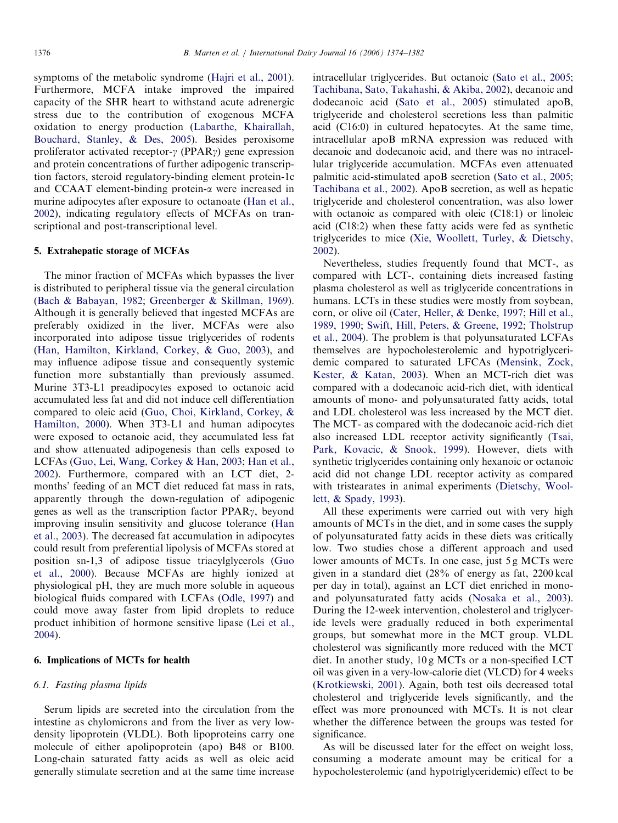symptoms of the metabolic syndrome [\(Hajri et al., 2001\)](#page-6-0). Furthermore, MCFA intake improved the impaired capacity of the SHR heart to withstand acute adrenergic stress due to the contribution of exogenous MCFA oxidation to energy production ([Labarthe, Khairallah,](#page-6-0) [Bouchard, Stanley, & Des, 2005](#page-6-0)). Besides peroxisome proliferator activated receptor- $\gamma$  (PPAR $\gamma$ ) gene expression and protein concentrations of further adipogenic transcription factors, steroid regulatory-binding element protein-1c and CCAAT element-binding protein-a were increased in murine adipocytes after exposure to octanoate [\(Han et al.,](#page-6-0) [2002\)](#page-6-0), indicating regulatory effects of MCFAs on transcriptional and post-transcriptional level.

#### 5. Extrahepatic storage of MCFAs

The minor fraction of MCFAs which bypasses the liver is distributed to peripheral tissue via the general circulation [\(Bach & Babayan, 1982;](#page-5-0) [Greenberger & Skillman, 1969\)](#page-6-0). Although it is generally believed that ingested MCFAs are preferably oxidized in the liver, MCFAs were also incorporated into adipose tissue triglycerides of rodents [\(Han, Hamilton, Kirkland, Corkey,](#page-6-0) & [Guo, 2003\)](#page-6-0), and may influence adipose tissue and consequently systemic function more substantially than previously assumed. Murine 3T3-L1 preadipocytes exposed to octanoic acid accumulated less fat and did not induce cell differentiation compared to oleic acid ([Guo, Choi, Kirkland, Corkey,](#page-6-0) & [Hamilton, 2000](#page-6-0)). When 3T3-L1 and human adipocytes were exposed to octanoic acid, they accumulated less fat and show attenuated adipogenesis than cells exposed to LCFAs ([Guo, Lei, Wang, Corkey](#page-6-0) & [Han, 2003;](#page-6-0) [Han et al.,](#page-6-0) [2002\)](#page-6-0). Furthermore, compared with an LCT diet, 2 months' feeding of an MCT diet reduced fat mass in rats, apparently through the down-regulation of adipogenic genes as well as the transcription factor  $PPAR_{\gamma}$ , beyond improving insulin sensitivity and glucose tolerance [\(Han](#page-6-0) [et al., 2003](#page-6-0)). The decreased fat accumulation in adipocytes could result from preferential lipolysis of MCFAs stored at position sn-1,3 of adipose tissue triacylglycerols ([Guo](#page-6-0) [et al., 2000\)](#page-6-0). Because MCFAs are highly ionized at physiological pH, they are much more soluble in aqueous biological fluids compared with LCFAs ([Odle, 1997\)](#page-7-0) and could move away faster from lipid droplets to reduce product inhibition of hormone sensitive lipase ([Lei et al.,](#page-6-0) [2004\)](#page-6-0).

### 6. Implications of MCTs for health

#### 6.1. Fasting plasma lipids

Serum lipids are secreted into the circulation from the intestine as chylomicrons and from the liver as very lowdensity lipoprotein (VLDL). Both lipoproteins carry one molecule of either apolipoprotein (apo) B48 or B100. Long-chain saturated fatty acids as well as oleic acid generally stimulate secretion and at the same time increase

intracellular triglycerides. But octanoic [\(Sato et al., 2005](#page-7-0); [Tachibana, Sato, Takahashi, & Akiba, 2002](#page-7-0)), decanoic and dodecanoic acid ([Sato et al., 2005\)](#page-7-0) stimulated apoB, triglyceride and cholesterol secretions less than palmitic acid (C16:0) in cultured hepatocytes. At the same time, intracellular apoB mRNA expression was reduced with decanoic and dodecanoic acid, and there was no intracellular triglyceride accumulation. MCFAs even attenuated palmitic acid-stimulated apoB secretion [\(Sato et al., 2005](#page-7-0); [Tachibana et al., 2002\)](#page-7-0). ApoB secretion, as well as hepatic triglyceride and cholesterol concentration, was also lower with octanoic as compared with oleic (C18:1) or linoleic acid (C18:2) when these fatty acids were fed as synthetic triglycerides to mice ([Xie, Woollett, Turley,](#page-7-0) [& Dietschy,](#page-7-0) [2002\)](#page-7-0).

Nevertheless, studies frequently found that MCT-, as compared with LCT-, containing diets increased fasting plasma cholesterol as well as triglyceride concentrations in humans. LCTs in these studies were mostly from soybean, corn, or olive oil [\(Cater, Heller,](#page-6-0) & [Denke, 1997](#page-6-0); [Hill et al.,](#page-6-0) [1989, 1990;](#page-6-0) [Swift, Hill, Peters,](#page-7-0) [& Greene, 1992](#page-7-0); [Tholstrup](#page-7-0) [et al., 2004](#page-7-0)). The problem is that polyunsaturated LCFAs themselves are hypocholesterolemic and hypotriglyceridemic compared to saturated LFCAs [\(Mensink, Zock,](#page-6-0) [Kester,](#page-6-0) & [Katan, 2003\)](#page-6-0). When an MCT-rich diet was compared with a dodecanoic acid-rich diet, with identical amounts of mono- and polyunsaturated fatty acids, total and LDL cholesterol was less increased by the MCT diet. The MCT- as compared with the dodecanoic acid-rich diet also increased LDL receptor activity significantly ([Tsai,](#page-7-0) [Park, Kovacic, & Snook, 1999](#page-7-0)). However, diets with synthetic triglycerides containing only hexanoic or octanoic acid did not change LDL receptor activity as compared with tristearates in animal experiments [\(Dietschy, Wool](#page-6-0)[lett,](#page-6-0) [& Spady, 1993\)](#page-6-0).

All these experiments were carried out with very high amounts of MCTs in the diet, and in some cases the supply of polyunsaturated fatty acids in these diets was critically low. Two studies chose a different approach and used lower amounts of MCTs. In one case, just 5 g MCTs were given in a standard diet (28% of energy as fat, 2200 kcal per day in total), against an LCT diet enriched in monoand polyunsaturated fatty acids [\(Nosaka et al., 2003\)](#page-7-0). During the 12-week intervention, cholesterol and triglyceride levels were gradually reduced in both experimental groups, but somewhat more in the MCT group. VLDL cholesterol was significantly more reduced with the MCT diet. In another study, 10 g MCTs or a non-specified LCT oil was given in a very-low-calorie diet (VLCD) for 4 weeks [\(Krotkiewski, 2001](#page-6-0)). Again, both test oils decreased total cholesterol and triglyceride levels significantly, and the effect was more pronounced with MCTs. It is not clear whether the difference between the groups was tested for significance.

As will be discussed later for the effect on weight loss, consuming a moderate amount may be critical for a hypocholesterolemic (and hypotriglyceridemic) effect to be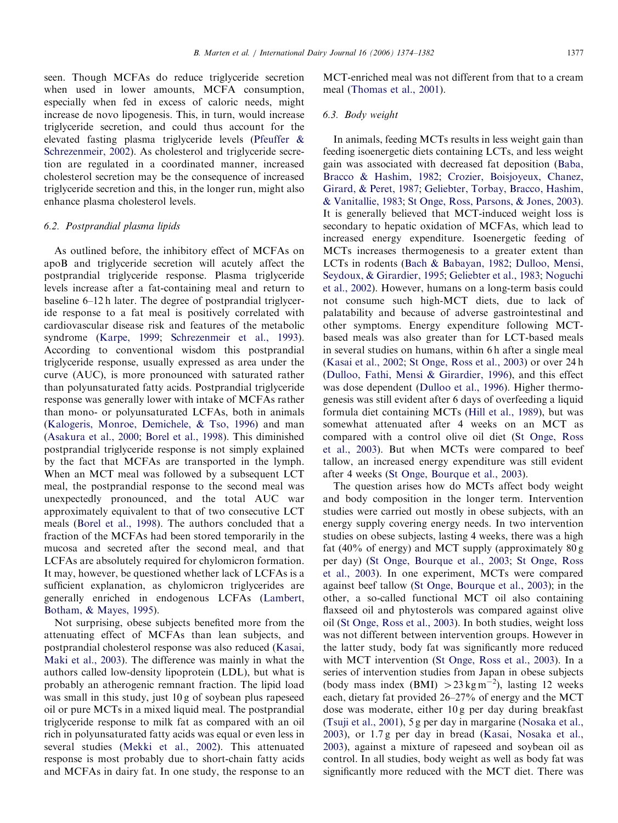seen. Though MCFAs do reduce triglyceride secretion when used in lower amounts, MCFA consumption, especially when fed in excess of caloric needs, might increase de novo lipogenesis. This, in turn, would increase triglyceride secretion, and could thus account for the elevated fasting plasma triglyceride levels ([Pfeuffer &](#page-7-0) [Schrezenmeir, 2002](#page-7-0)). As cholesterol and triglyceride secretion are regulated in a coordinated manner, increased cholesterol secretion may be the consequence of increased triglyceride secretion and this, in the longer run, might also enhance plasma cholesterol levels.

### 6.2. Postprandial plasma lipids

As outlined before, the inhibitory effect of MCFAs on apoB and triglyceride secretion will acutely affect the postprandial triglyceride response. Plasma triglyceride levels increase after a fat-containing meal and return to baseline 6–12 h later. The degree of postprandial triglyceride response to a fat meal is positively correlated with cardiovascular disease risk and features of the metabolic syndrome ([Karpe, 1999;](#page-6-0) [Schrezenmeir et al., 1993\)](#page-7-0). According to conventional wisdom this postprandial triglyceride response, usually expressed as area under the curve (AUC), is more pronounced with saturated rather than polyunsaturated fatty acids. Postprandial triglyceride response was generally lower with intake of MCFAs rather than mono- or polyunsaturated LCFAs, both in animals ([Kalogeris, Monroe, Demichele,](#page-6-0) [& Tso, 1996\)](#page-6-0) and man ([Asakura et al., 2000;](#page-5-0) [Borel et al., 1998\)](#page-5-0). This diminished postprandial triglyceride response is not simply explained by the fact that MCFAs are transported in the lymph. When an MCT meal was followed by a subsequent LCT meal, the postprandial response to the second meal was unexpectedly pronounced, and the total AUC war approximately equivalent to that of two consecutive LCT meals [\(Borel et al., 1998](#page-5-0)). The authors concluded that a fraction of the MCFAs had been stored temporarily in the mucosa and secreted after the second meal, and that LCFAs are absolutely required for chylomicron formation. It may, however, be questioned whether lack of LCFAs is a sufficient explanation, as chylomicron triglycerides are generally enriched in endogenous LCFAs ([Lambert,](#page-6-0) [Botham, & Mayes, 1995\)](#page-6-0).

Not surprising, obese subjects benefited more from the attenuating effect of MCFAs than lean subjects, and postprandial cholesterol response was also reduced [\(Kasai,](#page-6-0) [Maki et al., 2003\)](#page-6-0). The difference was mainly in what the authors called low-density lipoprotein (LDL), but what is probably an atherogenic remnant fraction. The lipid load was small in this study, just 10 g of soybean plus rapeseed oil or pure MCTs in a mixed liquid meal. The postprandial triglyceride response to milk fat as compared with an oil rich in polyunsaturated fatty acids was equal or even less in several studies ([Mekki et al., 2002](#page-6-0)). This attenuated response is most probably due to short-chain fatty acids and MCFAs in dairy fat. In one study, the response to an MCT-enriched meal was not different from that to a cream meal [\(Thomas et al., 2001\)](#page-7-0).

## 6.3. Body weight

In animals, feeding MCTs results in less weight gain than feeding isoenergetic diets containing LCTs, and less weight gain was associated with decreased fat deposition ([Baba,](#page-5-0) [Bracco](#page-5-0) & [Hashim, 1982](#page-5-0); [Crozier, Boisjoyeux, Chanez,](#page-6-0) [Girard,](#page-6-0) & [Peret, 1987;](#page-6-0) [Geliebter, Torbay, Bracco, Hashim,](#page-6-0) [& Vanitallie, 1983](#page-6-0); [St Onge, Ross, Parsons,](#page-7-0) [& Jones, 2003\)](#page-7-0). It is generally believed that MCT-induced weight loss is secondary to hepatic oxidation of MCFAs, which lead to increased energy expenditure. Isoenergetic feeding of MCTs increases thermogenesis to a greater extent than LCTs in rodents [\(Bach](#page-5-0) [& Babayan, 1982;](#page-5-0) [Dulloo, Mensi,](#page-6-0) [Seydoux,](#page-6-0) & [Girardier, 1995](#page-6-0); [Geliebter et al., 1983;](#page-6-0) [Noguchi](#page-7-0) [et al., 2002](#page-7-0)). However, humans on a long-term basis could not consume such high-MCT diets, due to lack of palatability and because of adverse gastrointestinal and other symptoms. Energy expenditure following MCTbased meals was also greater than for LCT-based meals in several studies on humans, within 6 h after a single meal ([Kasai et al., 2002](#page-6-0); [St Onge, Ross et al., 2003](#page-7-0)) or over 24 h ([Dulloo, Fathi, Mensi & Girardier, 1996](#page-6-0)), and this effect was dose dependent ([Dulloo et al., 1996\)](#page-6-0). Higher thermogenesis was still evident after 6 days of overfeeding a liquid formula diet containing MCTs ([Hill et al., 1989](#page-6-0)), but was somewhat attenuated after 4 weeks on an MCT as compared with a control olive oil diet ([St Onge, Ross](#page-7-0) [et al., 2003](#page-7-0)). But when MCTs were compared to beef tallow, an increased energy expenditure was still evident after 4 weeks ([St Onge, Bourque et al., 2003](#page-7-0)).

The question arises how do MCTs affect body weight and body composition in the longer term. Intervention studies were carried out mostly in obese subjects, with an energy supply covering energy needs. In two intervention studies on obese subjects, lasting 4 weeks, there was a high fat (40% of energy) and MCT supply (approximately 80 g per day) ([St Onge, Bourque et al., 2003](#page-7-0); [St Onge, Ross](#page-7-0) [et al., 2003](#page-7-0)). In one experiment, MCTs were compared against beef tallow [\(St Onge, Bourque et al., 2003](#page-7-0)); in the other, a so-called functional MCT oil also containing flaxseed oil and phytosterols was compared against olive oil [\(St Onge, Ross et al., 2003\)](#page-7-0). In both studies, weight loss was not different between intervention groups. However in the latter study, body fat was significantly more reduced with MCT intervention [\(St Onge, Ross et al., 2003\)](#page-7-0). In a series of intervention studies from Japan in obese subjects (body mass index (BMI)  $>$  23 kg m<sup>-2</sup>), lasting 12 weeks each, dietary fat provided 26–27% of energy and the MCT dose was moderate, either 10 g per day during breakfast ([Tsuji et al., 2001](#page-7-0)), 5 g per day in margarine [\(Nosaka et al.,](#page-7-0) [2003](#page-7-0)), or 1.7 g per day in bread [\(Kasai, Nosaka et al.,](#page-6-0) [2003](#page-6-0)), against a mixture of rapeseed and soybean oil as control. In all studies, body weight as well as body fat was significantly more reduced with the MCT diet. There was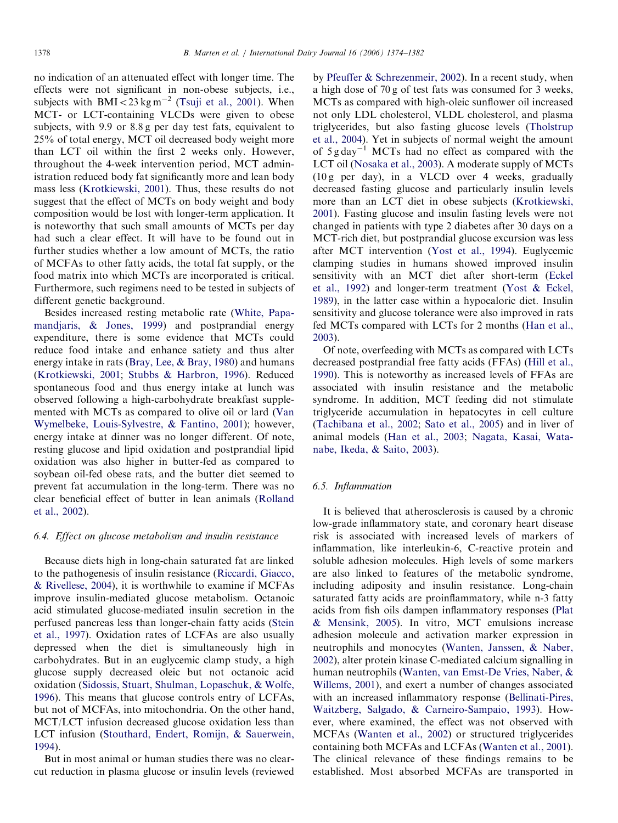no indication of an attenuated effect with longer time. The effects were not significant in non-obese subjects, i.e., subjects with  $BMI < 23 \text{ kg m}^{-2}$  ([Tsuji et al., 2001](#page-7-0)). When MCT- or LCT-containing VLCDs were given to obese subjects, with 9.9 or 8.8 g per day test fats, equivalent to 25% of total energy, MCT oil decreased body weight more than LCT oil within the first 2 weeks only. However, throughout the 4-week intervention period, MCT administration reduced body fat significantly more and lean body mass less ([Krotkiewski, 2001](#page-6-0)). Thus, these results do not suggest that the effect of MCTs on body weight and body composition would be lost with longer-term application. It is noteworthy that such small amounts of MCTs per day had such a clear effect. It will have to be found out in further studies whether a low amount of MCTs, the ratio of MCFAs to other fatty acids, the total fat supply, or the food matrix into which MCTs are incorporated is critical. Furthermore, such regimens need to be tested in subjects of different genetic background.

Besides increased resting metabolic rate ([White, Papa](#page-7-0)[mandjaris,](#page-7-0) & [Jones, 1999](#page-7-0)) and postprandial energy expenditure, there is some evidence that MCTs could reduce food intake and enhance satiety and thus alter energy intake in rats [\(Bray, Lee,](#page-5-0) [& Bray, 1980](#page-5-0)) and humans [\(Krotkiewski, 2001](#page-6-0); [Stubbs & Harbron, 1996\)](#page-7-0). Reduced spontaneous food and thus energy intake at lunch was observed following a high-carbohydrate breakfast supplemented with MCTs as compared to olive oil or lard [\(Van](#page-7-0) [Wymelbeke, Louis-Sylvestre, & Fantino, 2001](#page-7-0)); however, energy intake at dinner was no longer different. Of note, resting glucose and lipid oxidation and postprandial lipid oxidation was also higher in butter-fed as compared to soybean oil-fed obese rats, and the butter diet seemed to prevent fat accumulation in the long-term. There was no clear beneficial effect of butter in lean animals [\(Rolland](#page-7-0) [et al., 2002](#page-7-0)).

#### 6.4. Effect on glucose metabolism and insulin resistance

Because diets high in long-chain saturated fat are linked to the pathogenesis of insulin resistance ([Riccardi, Giacco,](#page-7-0) [& Rivellese, 2004\)](#page-7-0), it is worthwhile to examine if MCFAs improve insulin-mediated glucose metabolism. Octanoic acid stimulated glucose-mediated insulin secretion in the perfused pancreas less than longer-chain fatty acids [\(Stein](#page-7-0) [et al., 1997](#page-7-0)). Oxidation rates of LCFAs are also usually depressed when the diet is simultaneously high in carbohydrates. But in an euglycemic clamp study, a high glucose supply decreased oleic but not octanoic acid oxidation [\(Sidossis, Stuart, Shulman, Lopaschuk,](#page-7-0) & [Wolfe,](#page-7-0) [1996\)](#page-7-0). This means that glucose controls entry of LCFAs, but not of MCFAs, into mitochondria. On the other hand, MCT/LCT infusion decreased glucose oxidation less than LCT infusion ([Stouthard, Endert, Romijn,](#page-7-0) & [Sauerwein,](#page-7-0) [1994\)](#page-7-0).

But in most animal or human studies there was no clearcut reduction in plasma glucose or insulin levels (reviewed by [Pfeuffer & Schrezenmeir, 2002\)](#page-7-0). In a recent study, when a high dose of 70 g of test fats was consumed for 3 weeks, MCTs as compared with high-oleic sunflower oil increased not only LDL cholesterol, VLDL cholesterol, and plasma triglycerides, but also fasting glucose levels [\(Tholstrup](#page-7-0) [et al., 2004](#page-7-0)). Yet in subjects of normal weight the amount of  $5 \text{ g day}^{-1}$  MCTs had no effect as compared with the LCT oil [\(Nosaka et al., 2003](#page-7-0)). A moderate supply of MCTs (10 g per day), in a VLCD over 4 weeks, gradually decreased fasting glucose and particularly insulin levels more than an LCT diet in obese subjects [\(Krotkiewski,](#page-6-0) [2001\)](#page-6-0). Fasting glucose and insulin fasting levels were not changed in patients with type 2 diabetes after 30 days on a MCT-rich diet, but postprandial glucose excursion was less after MCT intervention ([Yost et al., 1994\)](#page-8-0). Euglycemic clamping studies in humans showed improved insulin sensitivity with an MCT diet after short-term [\(Eckel](#page-6-0) [et al., 1992\)](#page-6-0) and longer-term treatment ([Yost & Eckel,](#page-8-0) [1989\)](#page-8-0), in the latter case within a hypocaloric diet. Insulin sensitivity and glucose tolerance were also improved in rats fed MCTs compared with LCTs for 2 months ([Han et al.,](#page-6-0) [2003\)](#page-6-0).

Of note, overfeeding with MCTs as compared with LCTs decreased postprandial free fatty acids (FFAs) ([Hill et al.,](#page-6-0) [1990\)](#page-6-0). This is noteworthy as increased levels of FFAs are associated with insulin resistance and the metabolic syndrome. In addition, MCT feeding did not stimulate triglyceride accumulation in hepatocytes in cell culture [\(Tachibana et al., 2002;](#page-7-0) [Sato et al., 2005\)](#page-7-0) and in liver of animal models ([Han et al., 2003;](#page-6-0) [Nagata, Kasai, Wata](#page-7-0)[nabe, Ikeda,](#page-7-0) [& Saito, 2003](#page-7-0)).

# 6.5. Inflammation

It is believed that atherosclerosis is caused by a chronic low-grade inflammatory state, and coronary heart disease risk is associated with increased levels of markers of inflammation, like interleukin-6, C-reactive protein and soluble adhesion molecules. High levels of some markers are also linked to features of the metabolic syndrome, including adiposity and insulin resistance. Long-chain saturated fatty acids are proinflammatory, while n-3 fatty acids from fish oils dampen inflammatory responses ([Plat](#page-7-0) [& Mensink, 2005](#page-7-0)). In vitro, MCT emulsions increase adhesion molecule and activation marker expression in neutrophils and monocytes ([Wanten, Janssen, & Naber,](#page-7-0) [2002\)](#page-7-0), alter protein kinase C-mediated calcium signalling in human neutrophils [\(Wanten, van Emst-De Vries, Naber,](#page-7-0) & [Willems, 2001](#page-7-0)), and exert a number of changes associated with an increased inflammatory response [\(Bellinati-Pires,](#page-5-0) [Waitzberg, Salgado, & Carneiro-Sampaio, 1993\)](#page-5-0). However, where examined, the effect was not observed with MCFAs ([Wanten et al., 2002](#page-7-0)) or structured triglycerides containing both MCFAs and LCFAs [\(Wanten et al., 2001\)](#page-7-0). The clinical relevance of these findings remains to be established. Most absorbed MCFAs are transported in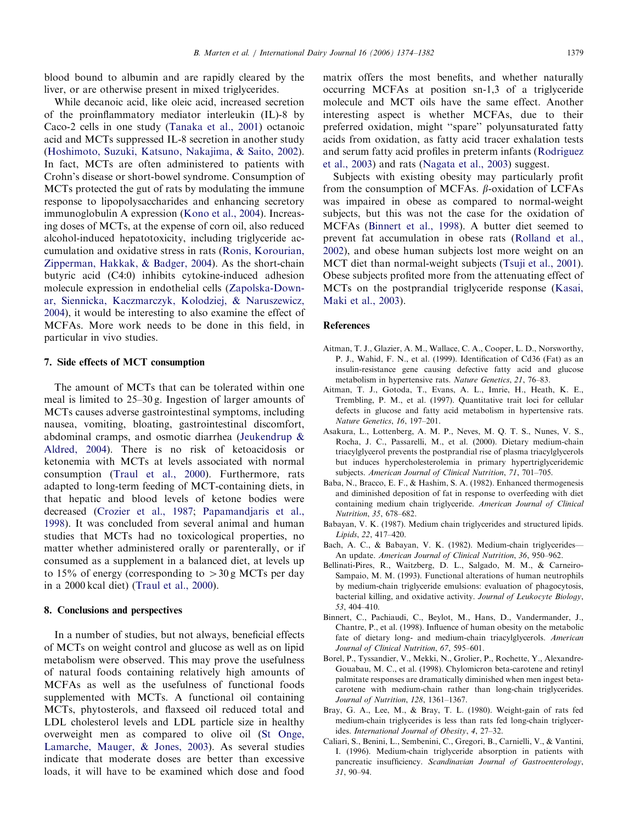<span id="page-5-0"></span>blood bound to albumin and are rapidly cleared by the liver, or are otherwise present in mixed triglycerides.

While decanoic acid, like oleic acid, increased secretion of the proinflammatory mediator interleukin (IL)-8 by Caco-2 cells in one study ([Tanaka et al., 2001\)](#page-7-0) octanoic acid and MCTs suppressed IL-8 secretion in another study ([Hoshimoto, Suzuki, Katsuno, Nakajima, & Saito, 2002\)](#page-6-0). In fact, MCTs are often administered to patients with Crohn's disease or short-bowel syndrome. Consumption of MCTs protected the gut of rats by modulating the immune response to lipopolysaccharides and enhancing secretory immunoglobulin A expression [\(Kono et al., 2004\)](#page-6-0). Increasing doses of MCTs, at the expense of corn oil, also reduced alcohol-induced hepatotoxicity, including triglyceride accumulation and oxidative stress in rats [\(Ronis, Korourian,](#page-7-0) [Zipperman, Hakkak, & Badger, 2004](#page-7-0)). As the short-chain butyric acid (C4:0) inhibits cytokine-induced adhesion molecule expression in endothelial cells ([Zapolska-Down](#page-8-0)[ar, Siennicka, Kaczmarczyk, Kolodziej,](#page-8-0) & [Naruszewicz,](#page-8-0) [2004](#page-8-0)), it would be interesting to also examine the effect of MCFAs. More work needs to be done in this field, in particular in vivo studies.

#### 7. Side effects of MCT consumption

The amount of MCTs that can be tolerated within one meal is limited to 25–30 g. Ingestion of larger amounts of MCTs causes adverse gastrointestinal symptoms, including nausea, vomiting, bloating, gastrointestinal discomfort, abdominal cramps, and osmotic diarrhea ([Jeukendrup &](#page-6-0) [Aldred, 2004\)](#page-6-0). There is no risk of ketoacidosis or ketonemia with MCTs at levels associated with normal consumption [\(Traul et al., 2000\)](#page-7-0). Furthermore, rats adapted to long-term feeding of MCT-containing diets, in that hepatic and blood levels of ketone bodies were decreased ([Crozier et al., 1987](#page-6-0); [Papamandjaris et al.,](#page-7-0) [1998](#page-7-0)). It was concluded from several animal and human studies that MCTs had no toxicological properties, no matter whether administered orally or parenterally, or if consumed as a supplement in a balanced diet, at levels up to 15% of energy (corresponding to  $>$ 30 g MCTs per day in a 2000 kcal diet) ([Traul et al., 2000](#page-7-0)).

#### 8. Conclusions and perspectives

In a number of studies, but not always, beneficial effects of MCTs on weight control and glucose as well as on lipid metabolism were observed. This may prove the usefulness of natural foods containing relatively high amounts of MCFAs as well as the usefulness of functional foods supplemented with MCTs. A functional oil containing MCTs, phytosterols, and flaxseed oil reduced total and LDL cholesterol levels and LDL particle size in healthy overweight men as compared to olive oil [\(St Onge,](#page-7-0) [Lamarche, Mauger, & Jones, 2003\)](#page-7-0). As several studies indicate that moderate doses are better than excessive loads, it will have to be examined which dose and food matrix offers the most benefits, and whether naturally occurring MCFAs at position sn-1,3 of a triglyceride molecule and MCT oils have the same effect. Another interesting aspect is whether MCFAs, due to their preferred oxidation, might ''spare'' polyunsaturated fatty acids from oxidation, as fatty acid tracer exhalation tests and serum fatty acid profiles in preterm infants [\(Rodriguez](#page-7-0) [et al., 2003\)](#page-7-0) and rats ([Nagata et al., 2003\)](#page-7-0) suggest.

Subjects with existing obesity may particularly profit from the consumption of MCFAs.  $\beta$ -oxidation of LCFAs was impaired in obese as compared to normal-weight subjects, but this was not the case for the oxidation of MCFAs (Binnert et al., 1998). A butter diet seemed to prevent fat accumulation in obese rats [\(Rolland et al.,](#page-7-0) [2002](#page-7-0)), and obese human subjects lost more weight on an MCT diet than normal-weight subjects [\(Tsuji et al., 2001\)](#page-7-0). Obese subjects profited more from the attenuating effect of MCTs on the postprandial triglyceride response [\(Kasai,](#page-6-0) [Maki et al., 2003](#page-6-0)).

#### References

- Aitman, T. J., Glazier, A. M., Wallace, C. A., Cooper, L. D., Norsworthy, P. J., Wahid, F. N., et al. (1999). Identification of Cd36 (Fat) as an insulin-resistance gene causing defective fatty acid and glucose metabolism in hypertensive rats. Nature Genetics, 21, 76–83.
- Aitman, T. J., Gotoda, T., Evans, A. L., Imrie, H., Heath, K. E., Trembling, P. M., et al. (1997). Quantitative trait loci for cellular defects in glucose and fatty acid metabolism in hypertensive rats. Nature Genetics, 16, 197–201.
- Asakura, L., Lottenberg, A. M. P., Neves, M. Q. T. S., Nunes, V. S., Rocha, J. C., Passarelli, M., et al. (2000). Dietary medium-chain triacylglycerol prevents the postprandial rise of plasma triacylglycerols but induces hypercholesterolemia in primary hypertriglyceridemic subjects. American Journal of Clinical Nutrition, 71, 701–705.
- Baba, N., Bracco, E. F., & Hashim, S. A. (1982). Enhanced thermogenesis and diminished deposition of fat in response to overfeeding with diet containing medium chain triglyceride. American Journal of Clinical Nutrition, 35, 678–682.
- Babayan, V. K. (1987). Medium chain triglycerides and structured lipids. Lipids, 22, 417–420.
- Bach, A. C., & Babayan, V. K. (1982). Medium-chain triglycerides— An update. American Journal of Clinical Nutrition, 36, 950–962.
- Bellinati-Pires, R., Waitzberg, D. L., Salgado, M. M., & Carneiro-Sampaio, M. M. (1993). Functional alterations of human neutrophils by medium-chain triglyceride emulsions: evaluation of phagocytosis, bacterial killing, and oxidative activity. Journal of Leukocyte Biology, 53, 404–410.
- Binnert, C., Pachiaudi, C., Beylot, M., Hans, D., Vandermander, J., Chantre, P., et al. (1998). Influence of human obesity on the metabolic fate of dietary long- and medium-chain triacylglycerols. American Journal of Clinical Nutrition, 67, 595–601.
- Borel, P., Tyssandier, V., Mekki, N., Grolier, P., Rochette, Y., Alexandre-Gouabau, M. C., et al. (1998). Chylomicron beta-carotene and retinyl palmitate responses are dramatically diminished when men ingest betacarotene with medium-chain rather than long-chain triglycerides. Journal of Nutrition, 128, 1361–1367.
- Bray, G. A., Lee, M., & Bray, T. L. (1980). Weight-gain of rats fed medium-chain triglycerides is less than rats fed long-chain triglycerides. International Journal of Obesity, 4, 27–32.
- Caliari, S., Benini, L., Sembenini, C., Gregori, B., Carnielli, V., & Vantini, I. (1996). Medium-chain triglyceride absorption in patients with pancreatic insufficiency. Scandinavian Journal of Gastroenterology, 31, 90–94.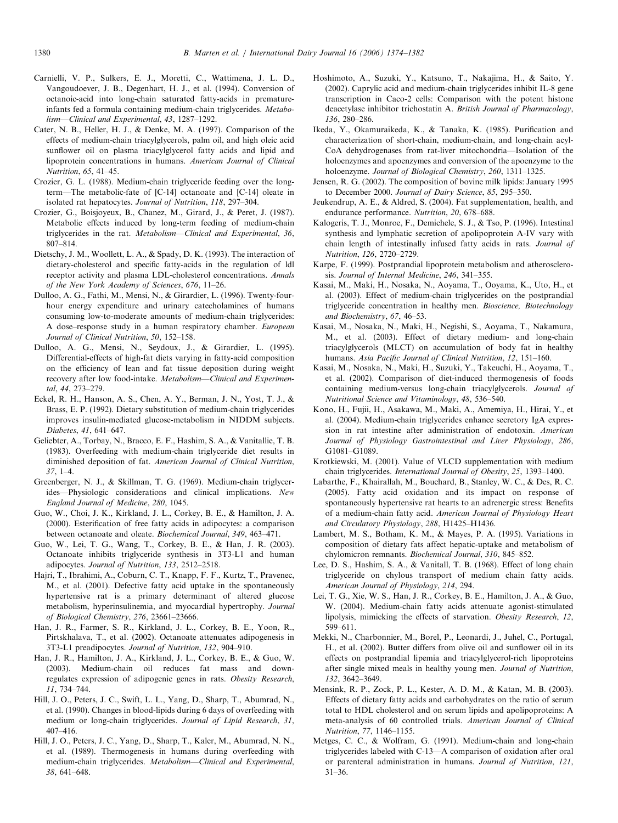- <span id="page-6-0"></span>Carnielli, V. P., Sulkers, E. J., Moretti, C., Wattimena, J. L. D., Vangoudoever, J. B., Degenhart, H. J., et al. (1994). Conversion of octanoic-acid into long-chain saturated fatty-acids in prematureinfants fed a formula containing medium-chain triglycerides. Metabolism—Clinical and Experimental, 43, 1287–1292.
- Cater, N. B., Heller, H. J., & Denke, M. A. (1997). Comparison of the effects of medium-chain triacylglycerols, palm oil, and high oleic acid sunflower oil on plasma triacylglycerol fatty acids and lipid and lipoprotein concentrations in humans. American Journal of Clinical Nutrition, 65, 41–45.
- Crozier, G. L. (1988). Medium-chain triglyceride feeding over the longterm—The metabolic-fate of [C-14] octanoate and [C-14] oleate in isolated rat hepatocytes. Journal of Nutrition, 118, 297–304.
- Crozier, G., Boisjoyeux, B., Chanez, M., Girard, J., & Peret, J. (1987). Metabolic effects induced by long-term feeding of medium-chain triglycerides in the rat. Metabolism—Clinical and Experimental, 36, 807–814.
- Dietschy, J. M., Woollett, L. A., & Spady, D. K. (1993). The interaction of dietary-cholesterol and specific fatty-acids in the regulation of ldl receptor activity and plasma LDL-cholesterol concentrations. Annals of the New York Academy of Sciences, 676, 11–26.
- Dulloo, A. G., Fathi, M., Mensi, N., & Girardier, L. (1996). Twenty-fourhour energy expenditure and urinary catecholamines of humans consuming low-to-moderate amounts of medium-chain triglycerides: A dose–response study in a human respiratory chamber. European Journal of Clinical Nutrition, 50, 152–158.
- Dulloo, A. G., Mensi, N., Seydoux, J., & Girardier, L. (1995). Differential-effects of high-fat diets varying in fatty-acid composition on the efficiency of lean and fat tissue deposition during weight recovery after low food-intake. Metabolism—Clinical and Experimental, 44, 273–279.
- Eckel, R. H., Hanson, A. S., Chen, A. Y., Berman, J. N., Yost, T. J., & Brass, E. P. (1992). Dietary substitution of medium-chain triglycerides improves insulin-mediated glucose-metabolism in NIDDM subjects. Diabetes, 41, 641–647.
- Geliebter, A., Torbay, N., Bracco, E. F., Hashim, S. A., & Vanitallie, T. B. (1983). Overfeeding with medium-chain triglyceride diet results in diminished deposition of fat. American Journal of Clinical Nutrition, 37, 1–4.
- Greenberger, N. J., & Skillman, T. G. (1969). Medium-chain triglycerides—Physiologic considerations and clinical implications. New England Journal of Medicine, 280, 1045.
- Guo, W., Choi, J. K., Kirkland, J. L., Corkey, B. E., & Hamilton, J. A. (2000). Esterification of free fatty acids in adipocytes: a comparison between octanoate and oleate. Biochemical Journal, 349, 463–471.
- Guo, W., Lei, T. G., Wang, T., Corkey, B. E., & Han, J. R. (2003). Octanoate inhibits triglyceride synthesis in 3T3-L1 and human adipocytes. Journal of Nutrition, 133, 2512–2518.
- Hajri, T., Ibrahimi, A., Coburn, C. T., Knapp, F. F., Kurtz, T., Pravenec, M., et al. (2001). Defective fatty acid uptake in the spontaneously hypertensive rat is a primary determinant of altered glucose metabolism, hyperinsulinemia, and myocardial hypertrophy. Journal of Biological Chemistry, 276, 23661–23666.
- Han, J. R., Farmer, S. R., Kirkland, J. L., Corkey, B. E., Yoon, R., Pirtskhalava, T., et al. (2002). Octanoate attenuates adipogenesis in 3T3-L1 preadipocytes. Journal of Nutrition, 132, 904–910.
- Han, J. R., Hamilton, J. A., Kirkland, J. L., Corkey, B. E., & Guo, W. (2003). Medium-chain oil reduces fat mass and downregulates expression of adipogenic genes in rats. Obesity Research, 11, 734–744.
- Hill, J. O., Peters, J. C., Swift, L. L., Yang, D., Sharp, T., Abumrad, N., et al. (1990). Changes in blood-lipids during 6 days of overfeeding with medium or long-chain triglycerides. Journal of Lipid Research, 31, 407–416.
- Hill, J. O., Peters, J. C., Yang, D., Sharp, T., Kaler, M., Abumrad, N. N., et al. (1989). Thermogenesis in humans during overfeeding with medium-chain triglycerides. Metabolism—Clinical and Experimental, 38, 641–648.
- Hoshimoto, A., Suzuki, Y., Katsuno, T., Nakajima, H., & Saito, Y. (2002). Caprylic acid and medium-chain triglycerides inhibit IL-8 gene transcription in Caco-2 cells: Comparison with the potent histone deacetylase inhibitor trichostatin A. British Journal of Pharmacology, 136, 280–286.
- Ikeda, Y., Okamuraikeda, K., & Tanaka, K. (1985). Purification and characterization of short-chain, medium-chain, and long-chain acyl-CoA dehydrogenases from rat-liver mitochondria—Isolation of the holoenzymes and apoenzymes and conversion of the apoenzyme to the holoenzyme. Journal of Biological Chemistry, 260, 1311-1325.
- Jensen, R. G. (2002). The composition of bovine milk lipids: January 1995 to December 2000. Journal of Dairy Science, 85, 295-350.
- Jeukendrup, A. E., & Aldred, S. (2004). Fat supplementation, health, and endurance performance. Nutrition, 20, 678–688.
- Kalogeris, T. J., Monroe, F., Demichele, S. J., & Tso, P. (1996). Intestinal synthesis and lymphatic secretion of apolipoprotein A-IV vary with chain length of intestinally infused fatty acids in rats. Journal of Nutrition, 126, 2720–2729.
- Karpe, F. (1999). Postprandial lipoprotein metabolism and atherosclerosis. Journal of Internal Medicine, 246, 341–355.
- Kasai, M., Maki, H., Nosaka, N., Aoyama, T., Ooyama, K., Uto, H., et al. (2003). Effect of medium-chain triglycerides on the postprandial triglyceride concentration in healthy men. Bioscience, Biotechnology and Biochemistry, 67, 46–53.
- Kasai, M., Nosaka, N., Maki, H., Negishi, S., Aoyama, T., Nakamura, M., et al. (2003). Effect of dietary medium- and long-chain triacylglycerols (MLCT) on accumulation of body fat in healthy humans. Asia Pacific Journal of Clinical Nutrition, 12, 151–160.
- Kasai, M., Nosaka, N., Maki, H., Suzuki, Y., Takeuchi, H., Aoyama, T., et al. (2002). Comparison of diet-induced thermogenesis of foods containing medium-versus long-chain triacylglycerols. Journal of Nutritional Science and Vitaminology, 48, 536–540.
- Kono, H., Fujii, H., Asakawa, M., Maki, A., Amemiya, H., Hirai, Y., et al. (2004). Medium-chain triglycerides enhance secretory IgA expression in rat intestine after administration of endotoxin. American Journal of Physiology Gastrointestinal and Liver Physiology, 286, G1081–G1089.
- Krotkiewski, M. (2001). Value of VLCD supplementation with medium chain triglycerides. International Journal of Obesity, 25, 1393–1400.
- Labarthe, F., Khairallah, M., Bouchard, B., Stanley, W. C., & Des, R. C. (2005). Fatty acid oxidation and its impact on response of spontaneously hypertensive rat hearts to an adrenergic stress: Benefits of a medium-chain fatty acid. American Journal of Physiology Heart and Circulatory Physiology, 288, H1425–H1436.
- Lambert, M. S., Botham, K. M., & Mayes, P. A. (1995). Variations in composition of dietary fats affect hepatic-uptake and metabolism of chylomicron remnants. Biochemical Journal, 310, 845–852.
- Lee, D. S., Hashim, S. A., & Vanitall, T. B. (1968). Effect of long chain triglyceride on chylous transport of medium chain fatty acids. American Journal of Physiology, 214, 294.
- Lei, T. G., Xie, W. S., Han, J. R., Corkey, B. E., Hamilton, J. A., & Guo, W. (2004). Medium-chain fatty acids attenuate agonist-stimulated lipolysis, mimicking the effects of starvation. Obesity Research, 12, 599–611.
- Mekki, N., Charbonnier, M., Borel, P., Leonardi, J., Juhel, C., Portugal, H., et al. (2002). Butter differs from olive oil and sunflower oil in its effects on postprandial lipemia and triacylglycerol-rich lipoproteins after single mixed meals in healthy young men. Journal of Nutrition, 132, 3642–3649.
- Mensink, R. P., Zock, P. L., Kester, A. D. M., & Katan, M. B. (2003). Effects of dietary fatty acids and carbohydrates on the ratio of serum total to HDL cholesterol and on serum lipids and apolipoproteins: A meta-analysis of 60 controlled trials. American Journal of Clinical Nutrition, 77, 1146–1155.
- Metges, C. C., & Wolfram, G. (1991). Medium-chain and long-chain triglycerides labeled with C-13—A comparison of oxidation after oral or parenteral administration in humans. Journal of Nutrition, 121, 31–36.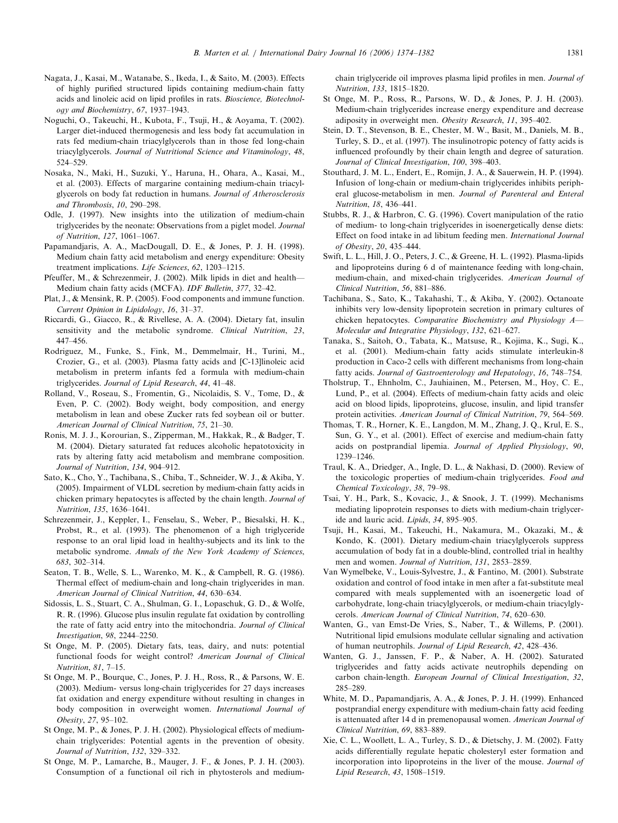- <span id="page-7-0"></span>Nagata, J., Kasai, M., Watanabe, S., Ikeda, I., & Saito, M. (2003). Effects of highly purified structured lipids containing medium-chain fatty acids and linoleic acid on lipid profiles in rats. Bioscience, Biotechnology and Biochemistry, 67, 1937–1943.
- Noguchi, O., Takeuchi, H., Kubota, F., Tsuji, H., & Aoyama, T. (2002). Larger diet-induced thermogenesis and less body fat accumulation in rats fed medium-chain triacylglycerols than in those fed long-chain triacylglycerols. Journal of Nutritional Science and Vitaminology, 48, 524–529.
- Nosaka, N., Maki, H., Suzuki, Y., Haruna, H., Ohara, A., Kasai, M., et al. (2003). Effects of margarine containing medium-chain triacylglycerols on body fat reduction in humans. Journal of Atherosclerosis and Thrombosis, 10, 290–298.
- Odle, J. (1997). New insights into the utilization of medium-chain triglycerides by the neonate: Observations from a piglet model. Journal of Nutrition, 127, 1061–1067.
- Papamandjaris, A. A., MacDougall, D. E., & Jones, P. J. H. (1998). Medium chain fatty acid metabolism and energy expenditure: Obesity treatment implications. Life Sciences, 62, 1203–1215.
- Pfeuffer, M., & Schrezenmeir, J. (2002). Milk lipids in diet and health— Medium chain fatty acids (MCFA). IDF Bulletin, 377, 32–42.
- Plat, J., & Mensink, R. P. (2005). Food components and immune function. Current Opinion in Lipidology, 16, 31–37.
- Riccardi, G., Giacco, R., & Rivellese, A. A. (2004). Dietary fat, insulin sensitivity and the metabolic syndrome. Clinical Nutrition, 23, 447–456.
- Rodriguez, M., Funke, S., Fink, M., Demmelmair, H., Turini, M., Crozier, G., et al. (2003). Plasma fatty acids and [C-13]linoleic acid metabolism in preterm infants fed a formula with medium-chain triglycerides. Journal of Lipid Research, 44, 41–48.
- Rolland, V., Roseau, S., Fromentin, G., Nicolaidis, S. V., Tome, D., & Even, P. C. (2002). Body weight, body composition, and energy metabolism in lean and obese Zucker rats fed soybean oil or butter. American Journal of Clinical Nutrition, 75, 21–30.
- Ronis, M. J. J., Korourian, S., Zipperman, M., Hakkak, R., & Badger, T. M. (2004). Dietary saturated fat reduces alcoholic hepatotoxicity in rats by altering fatty acid metabolism and membrane composition. Journal of Nutrition, 134, 904–912.
- Sato, K., Cho, Y., Tachibana, S., Chiba, T., Schneider, W. J., & Akiba, Y. (2005). Impairment of VLDL secretion by medium-chain fatty acids in chicken primary hepatocytes is affected by the chain length. Journal of Nutrition, 135, 1636–1641.
- Schrezenmeir, J., Keppler, I., Fenselau, S., Weber, P., Biesalski, H. K., Probst, R., et al. (1993). The phenomenon of a high triglyceride response to an oral lipid load in healthy-subjects and its link to the metabolic syndrome. Annals of the New York Academy of Sciences, 683, 302–314.
- Seaton, T. B., Welle, S. L., Warenko, M. K., & Campbell, R. G. (1986). Thermal effect of medium-chain and long-chain triglycerides in man. American Journal of Clinical Nutrition, 44, 630–634.
- Sidossis, L. S., Stuart, C. A., Shulman, G. I., Lopaschuk, G. D., & Wolfe, R. R. (1996). Glucose plus insulin regulate fat oxidation by controlling the rate of fatty acid entry into the mitochondria. Journal of Clinical Investigation, 98, 2244–2250.
- St Onge, M. P. (2005). Dietary fats, teas, dairy, and nuts: potential functional foods for weight control? American Journal of Clinical Nutrition, 81, 7–15.
- St Onge, M. P., Bourque, C., Jones, P. J. H., Ross, R., & Parsons, W. E. (2003). Medium- versus long-chain triglycerides for 27 days increases fat oxidation and energy expenditure without resulting in changes in body composition in overweight women. International Journal of Obesity, 27, 95–102.
- St Onge, M. P., & Jones, P. J. H. (2002). Physiological effects of mediumchain triglycerides: Potential agents in the prevention of obesity. Journal of Nutrition, 132, 329–332.
- St Onge, M. P., Lamarche, B., Mauger, J. F., & Jones, P. J. H. (2003). Consumption of a functional oil rich in phytosterols and medium-

chain triglyceride oil improves plasma lipid profiles in men. Journal of Nutrition, 133, 1815–1820.

- St Onge, M. P., Ross, R., Parsons, W. D., & Jones, P. J. H. (2003). Medium-chain triglycerides increase energy expenditure and decrease adiposity in overweight men. Obesity Research, 11, 395–402.
- Stein, D. T., Stevenson, B. E., Chester, M. W., Basit, M., Daniels, M. B., Turley, S. D., et al. (1997). The insulinotropic potency of fatty acids is influenced profoundly by their chain length and degree of saturation. Journal of Clinical Investigation, 100, 398–403.
- Stouthard, J. M. L., Endert, E., Romijn, J. A., & Sauerwein, H. P. (1994). Infusion of long-chain or medium-chain triglycerides inhibits peripheral glucose-metabolism in men. Journal of Parenteral and Enteral Nutrition, 18, 436–441.
- Stubbs, R. J., & Harbron, C. G. (1996). Covert manipulation of the ratio of medium- to long-chain triglycerides in isoenergetically dense diets: Effect on food intake in ad libitum feeding men. International Journal of Obesity, 20, 435–444.
- Swift, L. L., Hill, J. O., Peters, J. C., & Greene, H. L. (1992). Plasma-lipids and lipoproteins during 6 d of maintenance feeding with long-chain, medium-chain, and mixed-chain triglycerides. American Journal of Clinical Nutrition, 56, 881–886.
- Tachibana, S., Sato, K., Takahashi, T., & Akiba, Y. (2002). Octanoate inhibits very low-density lipoprotein secretion in primary cultures of chicken hepatocytes. Comparative Biochemistry and Physiology A— Molecular and Integrative Physiology, 132, 621–627.
- Tanaka, S., Saitoh, O., Tabata, K., Matsuse, R., Kojima, K., Sugi, K., et al. (2001). Medium-chain fatty acids stimulate interleukin-8 production in Caco-2 cells with different mechanisms from long-chain fatty acids. Journal of Gastroenterology and Hepatology, 16, 748–754.
- Tholstrup, T., Ehnholm, C., Jauhiainen, M., Petersen, M., Hoy, C. E., Lund, P., et al. (2004). Effects of medium-chain fatty acids and oleic acid on blood lipids, lipoproteins, glucose, insulin, and lipid transfer protein activities. American Journal of Clinical Nutrition, 79, 564–569.
- Thomas, T. R., Horner, K. E., Langdon, M. M., Zhang, J. Q., Krul, E. S., Sun, G. Y., et al. (2001). Effect of exercise and medium-chain fatty acids on postprandial lipemia. Journal of Applied Physiology, 90, 1239–1246.
- Traul, K. A., Driedger, A., Ingle, D. L., & Nakhasi, D. (2000). Review of the toxicologic properties of medium-chain triglycerides. Food and Chemical Toxicology, 38, 79–98.
- Tsai, Y. H., Park, S., Kovacic, J., & Snook, J. T. (1999). Mechanisms mediating lipoprotein responses to diets with medium-chain triglyceride and lauric acid. Lipids, 34, 895–905.
- Tsuji, H., Kasai, M., Takeuchi, H., Nakamura, M., Okazaki, M., & Kondo, K. (2001). Dietary medium-chain triacylglycerols suppress accumulation of body fat in a double-blind, controlled trial in healthy men and women. Journal of Nutrition, 131, 2853–2859.
- Van Wymelbeke, V., Louis-Sylvestre, J., & Fantino, M. (2001). Substrate oxidation and control of food intake in men after a fat-substitute meal compared with meals supplemented with an isoenergetic load of carbohydrate, long-chain triacylglycerols, or medium-chain triacylglycerols. American Journal of Clinical Nutrition, 74, 620–630.
- Wanten, G., van Emst-De Vries, S., Naber, T., & Willems, P. (2001). Nutritional lipid emulsions modulate cellular signaling and activation of human neutrophils. Journal of Lipid Research, 42, 428–436.
- Wanten, G. J., Janssen, F. P., & Naber, A. H. (2002). Saturated triglycerides and fatty acids activate neutrophils depending on carbon chain-length. European Journal of Clinical Investigation, 32, 285–289.
- White, M. D., Papamandjaris, A. A., & Jones, P. J. H. (1999). Enhanced postprandial energy expenditure with medium-chain fatty acid feeding is attenuated after 14 d in premenopausal women. American Journal of Clinical Nutrition, 69, 883–889.
- Xie, C. L., Woollett, L. A., Turley, S. D., & Dietschy, J. M. (2002). Fatty acids differentially regulate hepatic cholesteryl ester formation and incorporation into lipoproteins in the liver of the mouse. Journal of Lipid Research, 43, 1508–1519.